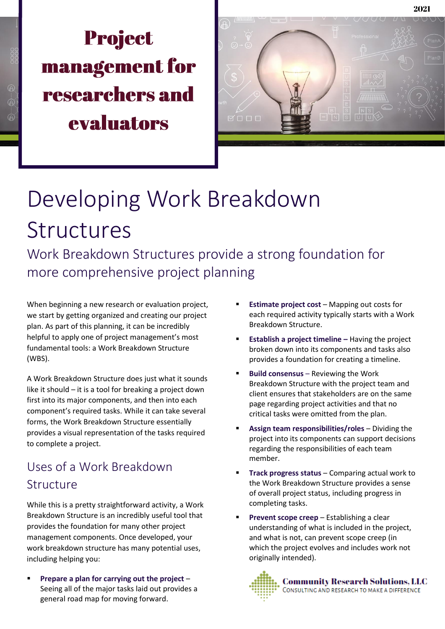# **Project management for** researchers and evaluators



# Developing Work Breakdown Structures

Work Breakdown Structures provide a strong foundation for more comprehensive project planning

When beginning a new research or evaluation project, we start by getting organized and creating our project plan. As part of this planning, it can be incredibly helpful to apply one of project management's most fundamental tools: a Work Breakdown Structure (WBS).

A Work Breakdown Structure does just what it sounds like it should – it is a tool for breaking a project down first into its major components, and then into each component's required tasks. While it can take several forms, the Work Breakdown Structure essentially provides a visual representation of the tasks required to complete a project.

## Uses of a Work Breakdown **Structure**

While this is a pretty straightforward activity, a Work Breakdown Structure is an incredibly useful tool that provides the foundation for many other project management components. Once developed, your work breakdown structure has many potential uses, including helping you:

▪ **Prepare a plan for carrying out the project** – Seeing all of the major tasks laid out provides a general road map for moving forward.

- **Estimate project cost** Mapping out costs for each required activity typically starts with a Work Breakdown Structure.
- **Establish a project timeline** Having the project broken down into its components and tasks also provides a foundation for creating a timeline.
- **Build consensus** Reviewing the Work Breakdown Structure with the project team and client ensures that stakeholders are on the same page regarding project activities and that no critical tasks were omitted from the plan.
- Assign team responsibilities/roles Dividing the project into its components can support decisions regarding the responsibilities of each team member.
- **Track progress status** Comparing actual work to the Work Breakdown Structure provides a sense of overall project status, including progress in completing tasks.
- **Prevent scope creep** Establishing a clear understanding of what is included in the project, and what is not, can prevent scope creep (in which the project evolves and includes work not originally intended).

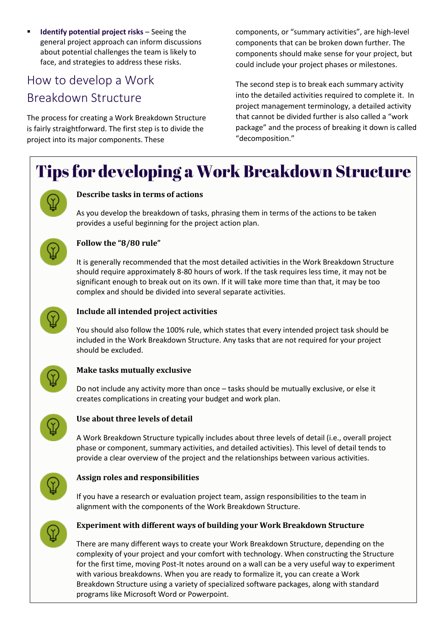**Identify potential project risks** – Seeing the general project approach can inform discussions about potential challenges the team is likely to face, and strategies to address these risks.

### How to develop a Work Breakdown Structure

The process for creating a Work Breakdown Structure is fairly straightforward. The first step is to divide the project into its major components. These

components, or "summary activities", are high-level components that can be broken down further. The components should make sense for your project, but could include your project phases or milestones.

The second step is to break each summary activity into the detailed activities required to complete it. In project management terminology, a detailed activity that cannot be divided further is also called a "work package" and the process of breaking it down is called "decomposition."

# Tips for developing a Work Breakdown Structure



#### **Describe tasks in terms of actions**

As you develop the breakdown of tasks, phrasing them in terms of the actions to be taken provides a useful beginning for the project action plan.



#### **Follow the "8/80 rule"**

It is generally recommended that the most detailed activities in the Work Breakdown Structure should require approximately 8-80 hours of work. If the task requires less time, it may not be significant enough to break out on its own. If it will take more time than that, it may be too complex and should be divided into several separate activities.



#### **Include all intended project activities**

You should also follow the 100% rule, which states that every intended project task should be included in the Work Breakdown Structure. Any tasks that are not required for your project should be excluded.



#### **Make tasks mutually exclusive**

Do not include any activity more than once – tasks should be mutually exclusive, or else it creates complications in creating your budget and work plan.



#### **Use about three levels of detail**

A Work Breakdown Structure typically includes about three levels of detail (i.e., overall project phase or component, summary activities, and detailed activities). This level of detail tends to provide a clear overview of the project and the relationships between various activities.



#### **Assign roles and responsibilities**

If you have a research or evaluation project team, assign responsibilities to the team in alignment with the components of the Work Breakdown Structure.



#### **Experiment with different ways of building your Work Breakdown Structure**

There are many different ways to create your Work Breakdown Structure, depending on the complexity of your project and your comfort with technology. When constructing the Structure for the first time, moving Post-It notes around on a wall can be a very useful way to experiment with various breakdowns. When you are ready to formalize it, you can create a Work Breakdown Structure using a variety of specialized software packages, along with standard programs like Microsoft Word or Powerpoint.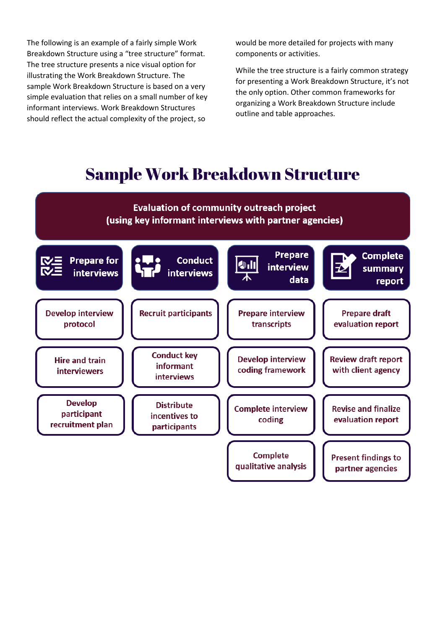The following is an example of a fairly simple Work Breakdown Structure using a "tree structure" format. The tree structure presents a nice visual option for illustrating the Work Breakdown Structure. The sample Work Breakdown Structure is based on a very simple evaluation that relies on a small number of key informant interviews. Work Breakdown Structures should reflect the actual complexity of the project, so

would be more detailed for projects with many components or activities.

While the tree structure is a fairly common strategy for presenting a Work Breakdown Structure, it's not the only option. Other common frameworks for organizing a Work Breakdown Structure include outline and table approaches.

## **Sample Work Breakdown Structure**